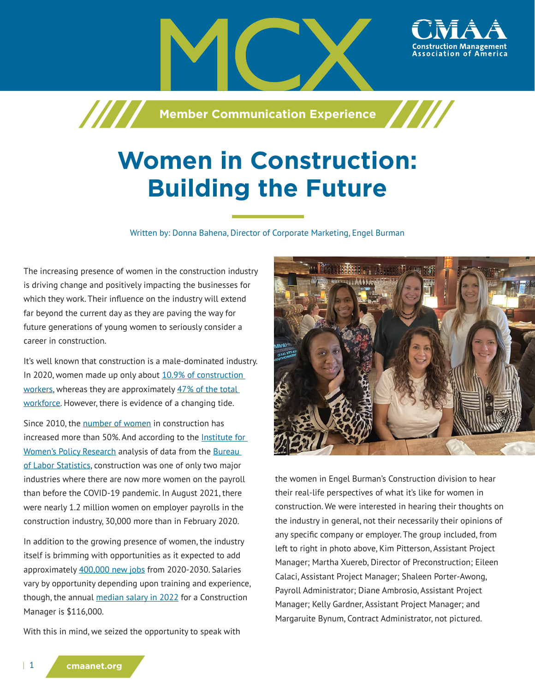

# **Women in Construction: Building the Future**

Written by: Donna Bahena, Director of Corporate Marketing, Engel Burman

The increasing presence of women in the construction industry is driving change and positively impacting the businesses for which they work. Their influence on the industry will extend far beyond the current day as they are paving the way for future generations of young women to seriously consider a career in construction.

It's well known that construction is a male-dominated industry. In 2020, women made up only about 10.9% of construction [workers](https://www.bls.gov/cps/cpsaat18.htm), whereas they are approximately 47% of the total [workforce.](https://www.bls.gov/cps/cpsaat18.htm) However, there is evidence of a changing tide.

Since 2010, the [number of women](https://eyeonhousing.org/2021/09/american-construction-10-9-of-employment-is-women/) in construction has increased more than 50%. And according to the **Institute for** [Women's Policy Research](https://iwpr.org/media/in-the-lead/construction-and-utilities-are-the-only-industries-where-women-have-added-jobs-post-covid-now-the-task-is-to-make-them-want-to-stay/) analysis of data from the Bureau [of Labor Statistics,](http://Bureau of Labor Statisticshttps://www.bls.gov/news.release/empsit.nr0.htm) construction was one of only two major industries where there are now more women on the payroll than before the COVID-19 pandemic. In August 2021, there were nearly 1.2 million women on employer payrolls in the construction industry, 30,000 more than in February 2020.

In addition to the growing presence of women, the industry itself is brimming with opportunities as it expected to add approximately [400,000 new jobs](https://www.bls.gov/ooh/construction-and-extraction/home.htm) from 2020-2030. Salaries vary by opportunity depending upon training and experience, though, the annual [median salary in 2022](https://www.salary.com/research/salary/benchmark/construction-manager-i-salary) for a Construction Manager is \$116,000.

With this in mind, we seized the opportunity to speak with



the women in Engel Burman's Construction division to hear their real-life perspectives of what it's like for women in construction. We were interested in hearing their thoughts on the industry in general, not their necessarily their opinions of any specific company or employer. The group included, from left to right in photo above, Kim Pitterson, Assistant Project Manager; Martha Xuereb, Director of Preconstruction; Eileen Calaci, Assistant Project Manager; Shaleen Porter-Awong, Payroll Administrator; Diane Ambrosio, Assistant Project Manager; Kelly Gardner, Assistant Project Manager; and Margaruite Bynum, Contract Administrator, not pictured.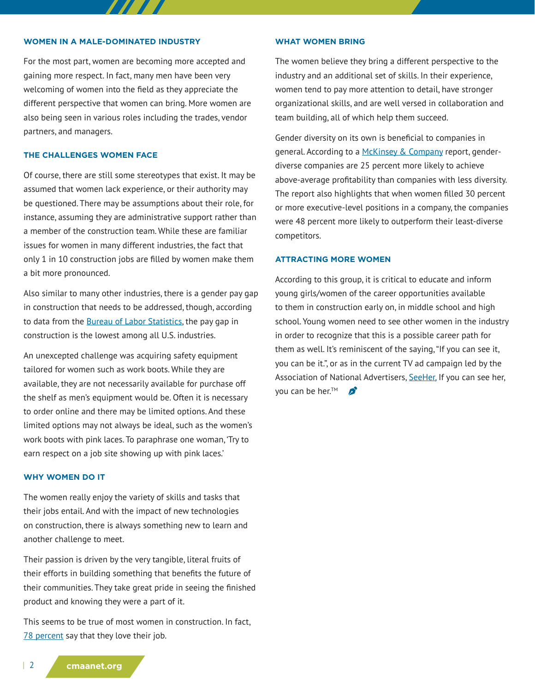#### **WOMEN IN A MALE-DOMINATED INDUSTRY**

For the most part, women are becoming more accepted and gaining more respect. In fact, many men have been very welcoming of women into the field as they appreciate the different perspective that women can bring. More women are also being seen in various roles including the trades, vendor partners, and managers.

7 7 7 7 7

## **THE CHALLENGES WOMEN FACE**

Of course, there are still some stereotypes that exist. It may be assumed that women lack experience, or their authority may be questioned. There may be assumptions about their role, for instance, assuming they are administrative support rather than a member of the construction team. While these are familiar issues for women in many different industries, the fact that only 1 in 10 construction jobs are filled by women make them a bit more pronounced.

Also similar to many other industries, there is a gender pay gap in construction that needs to be addressed, though, according to data from the [Bureau of Labor Statistics](https://www.bls.gov/opub/reports/womens-databook/2019/home.htm), the pay gap in construction is the lowest among all U.S. industries.

An unexcepted challenge was acquiring safety equipment tailored for women such as work boots. While they are available, they are not necessarily available for purchase off the shelf as men's equipment would be. Often it is necessary to order online and there may be limited options. And these limited options may not always be ideal, such as the women's work boots with pink laces. To paraphrase one woman, 'Try to earn respect on a job site showing up with pink laces.'

### **WHY WOMEN DO IT**

The women really enjoy the variety of skills and tasks that their jobs entail. And with the impact of new technologies on construction, there is always something new to learn and another challenge to meet.

Their passion is driven by the very tangible, literal fruits of their efforts in building something that benefits the future of their communities. They take great pride in seeing the finished product and knowing they were a part of it.

This seems to be true of most women in construction. In fact, [78 percent](https://www.levelset.com/news/women-love-construction/) say that they love their job.

#### **WHAT WOMEN BRING**

The women believe they bring a different perspective to the industry and an additional set of skills. In their experience, women tend to pay more attention to detail, have stronger organizational skills, and are well versed in collaboration and team building, all of which help them succeed.

Gender diversity on its own is beneficial to companies in general. According to a [McKinsey & Company](https://www.mckinsey.com/featured-insights/diversity-and-inclusion/diversity-wins-how-inclusion-matters) report, genderdiverse companies are 25 percent more likely to achieve above-average profitability than companies with less diversity. The report also highlights that when women filled 30 percent or more executive-level positions in a company, the companies were 48 percent more likely to outperform their least-diverse competitors.

## **ATTRACTING MORE WOMEN**

According to this group, it is critical to educate and inform young girls/women of the career opportunities available to them in construction early on, in middle school and high school. Young women need to see other women in the industry in order to recognize that this is a possible career path for them as well. It's reminiscent of the saying, "If you can see it, you can be it.", or as in the current TV ad campaign led by the Association of National Advertisers, [SeeHer,](https://www.ana.net/content/show/id/seeher-leadership) If you can see her, vou can be her.<sup>™</sup> **B** 

| 2 **cmaanet.org**